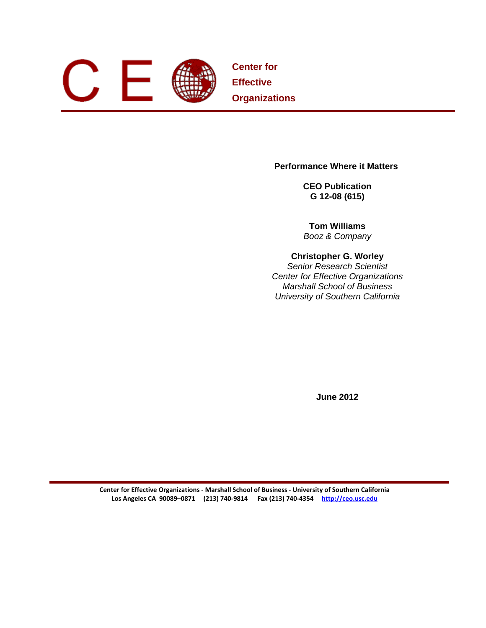

**Center for Effective Organizations** 

**Performance Where it Matters** 

**CEO Publication G 12-08 (615)** 

**Tom Williams**  *Booz & Company* 

### **Christopher G. Worley**

*Senior Research Scientist Center for Effective Organizations Marshall School of Business University of Southern California* 

**June 2012** 

**Center for Effective Organizations ‐ Marshall School of Business ‐ University of Southern California Los Angeles CA 90089–0871 (213) 740‐9814 Fax (213) 740‐4354 http://ceo.usc.edu**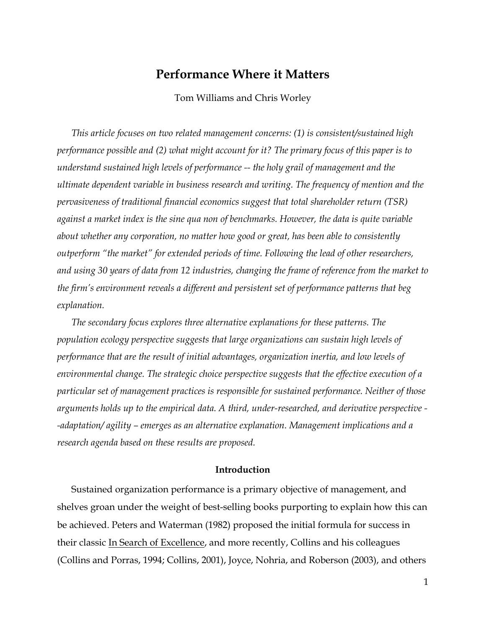## **Performance Where it Matters**

Tom Williams and Chris Worley

*This article focuses on two related management concerns: (1) is consistent/sustained high performance possible and (2) what might account for it? The primary focus of this paper is to understand sustained high levels of performance -- the holy grail of management and the ultimate dependent variable in business research and writing. The frequency of mention and the pervasiveness of traditional financial economics suggest that total shareholder return (TSR) against a market index is the sine qua non of benchmarks. However, the data is quite variable about whether any corporation, no matter how good or great, has been able to consistently outperform "the market" for extended periods of time. Following the lead of other researchers, and using 30 years of data from 12 industries, changing the frame of reference from the market to the firm's environment reveals a different and persistent set of performance patterns that beg explanation.* 

*The secondary focus explores three alternative explanations for these patterns. The population ecology perspective suggests that large organizations can sustain high levels of performance that are the result of initial advantages, organization inertia, and low levels of environmental change. The strategic choice perspective suggests that the effective execution of a particular set of management practices is responsible for sustained performance. Neither of those arguments holds up to the empirical data. A third, under-researched, and derivative perspective - -adaptation/ agility – emerges as an alternative explanation. Management implications and a research agenda based on these results are proposed.* 

#### **Introduction**

Sustained organization performance is a primary objective of management, and shelves groan under the weight of best-selling books purporting to explain how this can be achieved. Peters and Waterman (1982) proposed the initial formula for success in their classic In Search of Excellence, and more recently, Collins and his colleagues (Collins and Porras, 1994; Collins, 2001), Joyce, Nohria, and Roberson (2003), and others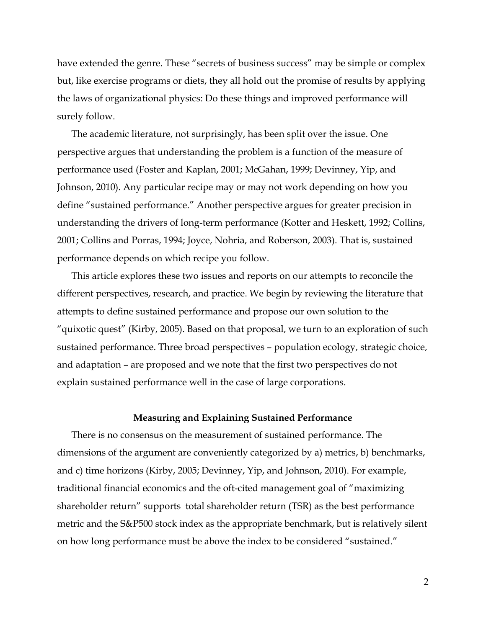have extended the genre. These "secrets of business success" may be simple or complex but, like exercise programs or diets, they all hold out the promise of results by applying the laws of organizational physics: Do these things and improved performance will surely follow.

The academic literature, not surprisingly, has been split over the issue. One perspective argues that understanding the problem is a function of the measure of performance used (Foster and Kaplan, 2001; McGahan, 1999; Devinney, Yip, and Johnson, 2010). Any particular recipe may or may not work depending on how you define "sustained performance." Another perspective argues for greater precision in understanding the drivers of long-term performance (Kotter and Heskett, 1992; Collins, 2001; Collins and Porras, 1994; Joyce, Nohria, and Roberson, 2003). That is, sustained performance depends on which recipe you follow.

This article explores these two issues and reports on our attempts to reconcile the different perspectives, research, and practice. We begin by reviewing the literature that attempts to define sustained performance and propose our own solution to the "quixotic quest" (Kirby, 2005). Based on that proposal, we turn to an exploration of such sustained performance. Three broad perspectives – population ecology, strategic choice, and adaptation – are proposed and we note that the first two perspectives do not explain sustained performance well in the case of large corporations.

#### **Measuring and Explaining Sustained Performance**

There is no consensus on the measurement of sustained performance. The dimensions of the argument are conveniently categorized by a) metrics, b) benchmarks, and c) time horizons (Kirby, 2005; Devinney, Yip, and Johnson, 2010). For example, traditional financial economics and the oft-cited management goal of "maximizing shareholder return" supports total shareholder return (TSR) as the best performance metric and the S&P500 stock index as the appropriate benchmark, but is relatively silent on how long performance must be above the index to be considered "sustained."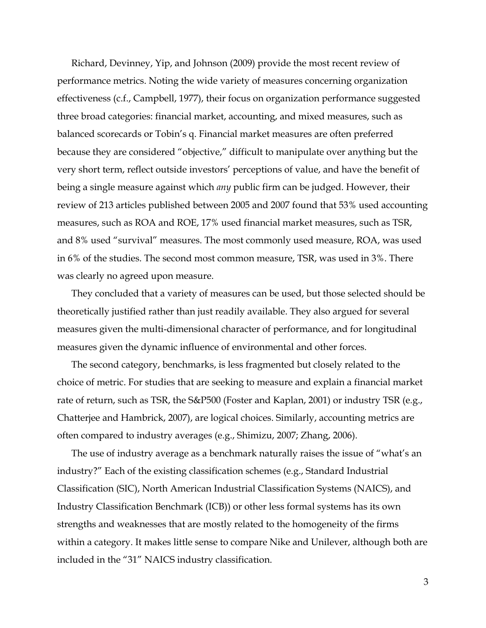Richard, Devinney, Yip, and Johnson (2009) provide the most recent review of performance metrics. Noting the wide variety of measures concerning organization effectiveness (c.f., Campbell, 1977), their focus on organization performance suggested three broad categories: financial market, accounting, and mixed measures, such as balanced scorecards or Tobin's q. Financial market measures are often preferred because they are considered "objective," difficult to manipulate over anything but the very short term, reflect outside investors' perceptions of value, and have the benefit of being a single measure against which *any* public firm can be judged. However, their review of 213 articles published between 2005 and 2007 found that 53% used accounting measures, such as ROA and ROE, 17% used financial market measures, such as TSR, and 8% used "survival" measures. The most commonly used measure, ROA, was used in 6% of the studies. The second most common measure, TSR, was used in 3%. There was clearly no agreed upon measure.

They concluded that a variety of measures can be used, but those selected should be theoretically justified rather than just readily available. They also argued for several measures given the multi-dimensional character of performance, and for longitudinal measures given the dynamic influence of environmental and other forces.

The second category, benchmarks, is less fragmented but closely related to the choice of metric. For studies that are seeking to measure and explain a financial market rate of return, such as TSR, the S&P500 (Foster and Kaplan, 2001) or industry TSR (e.g., Chatterjee and Hambrick, 2007), are logical choices. Similarly, accounting metrics are often compared to industry averages (e.g., Shimizu, 2007; Zhang, 2006).

The use of industry average as a benchmark naturally raises the issue of "what's an industry?" Each of the existing classification schemes (e.g., Standard Industrial Classification (SIC), North American Industrial Classification Systems (NAICS), and Industry Classification Benchmark (ICB)) or other less formal systems has its own strengths and weaknesses that are mostly related to the homogeneity of the firms within a category. It makes little sense to compare Nike and Unilever, although both are included in the "31" NAICS industry classification.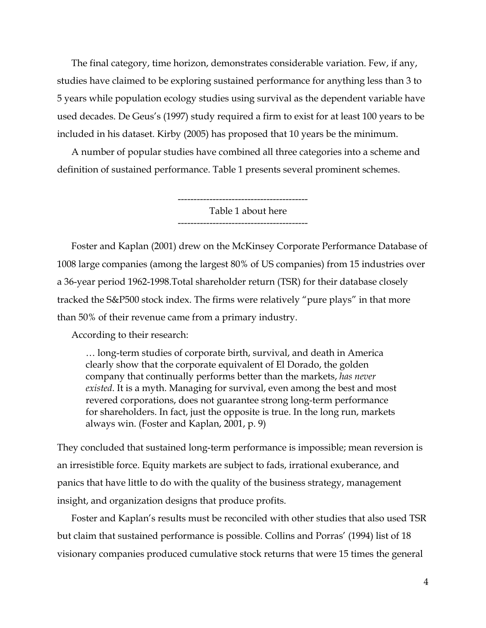The final category, time horizon, demonstrates considerable variation. Few, if any, studies have claimed to be exploring sustained performance for anything less than 3 to 5 years while population ecology studies using survival as the dependent variable have used decades. De Geus's (1997) study required a firm to exist for at least 100 years to be included in his dataset. Kirby (2005) has proposed that 10 years be the minimum.

A number of popular studies have combined all three categories into a scheme and definition of sustained performance. Table 1 presents several prominent schemes.

> ----------------------------------------- Table 1 about here -----------------------------------------

Foster and Kaplan (2001) drew on the McKinsey Corporate Performance Database of 1008 large companies (among the largest 80% of US companies) from 15 industries over a 36-year period 1962-1998.Total shareholder return (TSR) for their database closely tracked the S&P500 stock index. The firms were relatively "pure plays" in that more than 50% of their revenue came from a primary industry.

According to their research:

… long-term studies of corporate birth, survival, and death in America clearly show that the corporate equivalent of El Dorado, the golden company that continually performs better than the markets, *has never existed*. It is a myth. Managing for survival, even among the best and most revered corporations, does not guarantee strong long-term performance for shareholders. In fact, just the opposite is true. In the long run, markets always win. (Foster and Kaplan, 2001, p. 9)

They concluded that sustained long-term performance is impossible; mean reversion is an irresistible force. Equity markets are subject to fads, irrational exuberance, and panics that have little to do with the quality of the business strategy, management insight, and organization designs that produce profits.

Foster and Kaplan's results must be reconciled with other studies that also used TSR but claim that sustained performance is possible. Collins and Porras' (1994) list of 18 visionary companies produced cumulative stock returns that were 15 times the general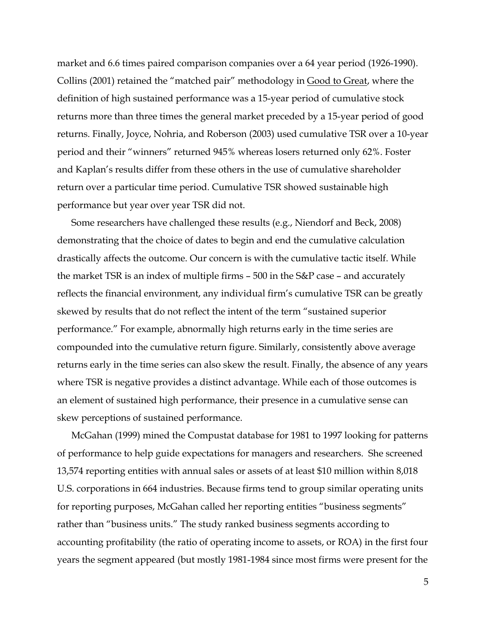market and 6.6 times paired comparison companies over a 64 year period (1926-1990). Collins (2001) retained the "matched pair" methodology in Good to Great, where the definition of high sustained performance was a 15-year period of cumulative stock returns more than three times the general market preceded by a 15-year period of good returns. Finally, Joyce, Nohria, and Roberson (2003) used cumulative TSR over a 10-year period and their "winners" returned 945% whereas losers returned only 62%. Foster and Kaplan's results differ from these others in the use of cumulative shareholder return over a particular time period. Cumulative TSR showed sustainable high performance but year over year TSR did not.

Some researchers have challenged these results (e.g., Niendorf and Beck, 2008) demonstrating that the choice of dates to begin and end the cumulative calculation drastically affects the outcome. Our concern is with the cumulative tactic itself. While the market TSR is an index of multiple firms – 500 in the S&P case – and accurately reflects the financial environment, any individual firm's cumulative TSR can be greatly skewed by results that do not reflect the intent of the term "sustained superior performance." For example, abnormally high returns early in the time series are compounded into the cumulative return figure. Similarly, consistently above average returns early in the time series can also skew the result. Finally, the absence of any years where TSR is negative provides a distinct advantage. While each of those outcomes is an element of sustained high performance, their presence in a cumulative sense can skew perceptions of sustained performance.

McGahan (1999) mined the Compustat database for 1981 to 1997 looking for patterns of performance to help guide expectations for managers and researchers. She screened 13,574 reporting entities with annual sales or assets of at least \$10 million within 8,018 U.S. corporations in 664 industries. Because firms tend to group similar operating units for reporting purposes, McGahan called her reporting entities "business segments" rather than "business units." The study ranked business segments according to accounting profitability (the ratio of operating income to assets, or ROA) in the first four years the segment appeared (but mostly 1981-1984 since most firms were present for the

5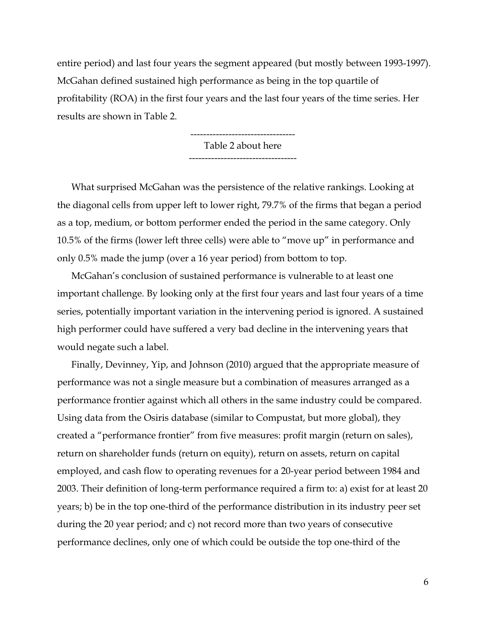entire period) and last four years the segment appeared (but mostly between 1993-1997). McGahan defined sustained high performance as being in the top quartile of profitability (ROA) in the first four years and the last four years of the time series. Her results are shown in Table 2.

> --------------------------------- Table 2 about here ----------------------------------

What surprised McGahan was the persistence of the relative rankings. Looking at the diagonal cells from upper left to lower right, 79.7% of the firms that began a period as a top, medium, or bottom performer ended the period in the same category. Only 10.5% of the firms (lower left three cells) were able to "move up" in performance and only 0.5% made the jump (over a 16 year period) from bottom to top.

McGahan's conclusion of sustained performance is vulnerable to at least one important challenge. By looking only at the first four years and last four years of a time series, potentially important variation in the intervening period is ignored. A sustained high performer could have suffered a very bad decline in the intervening years that would negate such a label.

Finally, Devinney, Yip, and Johnson (2010) argued that the appropriate measure of performance was not a single measure but a combination of measures arranged as a performance frontier against which all others in the same industry could be compared. Using data from the Osiris database (similar to Compustat, but more global), they created a "performance frontier" from five measures: profit margin (return on sales), return on shareholder funds (return on equity), return on assets, return on capital employed, and cash flow to operating revenues for a 20-year period between 1984 and 2003. Their definition of long-term performance required a firm to: a) exist for at least 20 years; b) be in the top one-third of the performance distribution in its industry peer set during the 20 year period; and c) not record more than two years of consecutive performance declines, only one of which could be outside the top one-third of the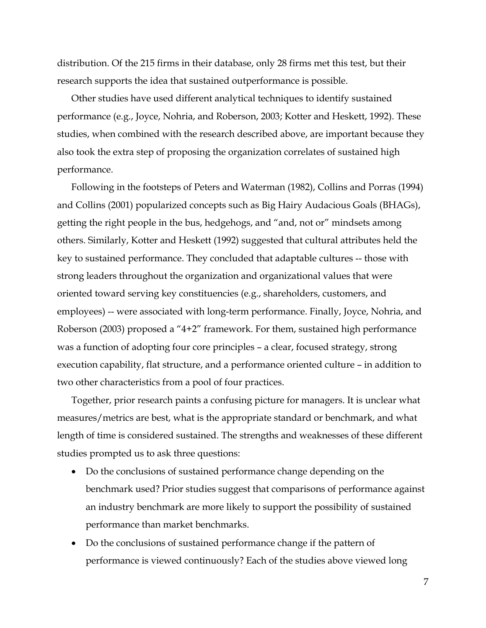distribution. Of the 215 firms in their database, only 28 firms met this test, but their research supports the idea that sustained outperformance is possible.

Other studies have used different analytical techniques to identify sustained performance (e.g., Joyce, Nohria, and Roberson, 2003; Kotter and Heskett, 1992). These studies, when combined with the research described above, are important because they also took the extra step of proposing the organization correlates of sustained high performance.

Following in the footsteps of Peters and Waterman (1982), Collins and Porras (1994) and Collins (2001) popularized concepts such as Big Hairy Audacious Goals (BHAGs), getting the right people in the bus, hedgehogs, and "and, not or" mindsets among others. Similarly, Kotter and Heskett (1992) suggested that cultural attributes held the key to sustained performance. They concluded that adaptable cultures -- those with strong leaders throughout the organization and organizational values that were oriented toward serving key constituencies (e.g., shareholders, customers, and employees) -- were associated with long-term performance. Finally, Joyce, Nohria, and Roberson (2003) proposed a "4+2" framework. For them, sustained high performance was a function of adopting four core principles – a clear, focused strategy, strong execution capability, flat structure, and a performance oriented culture – in addition to two other characteristics from a pool of four practices.

Together, prior research paints a confusing picture for managers. It is unclear what measures/metrics are best, what is the appropriate standard or benchmark, and what length of time is considered sustained. The strengths and weaknesses of these different studies prompted us to ask three questions:

- Do the conclusions of sustained performance change depending on the benchmark used? Prior studies suggest that comparisons of performance against an industry benchmark are more likely to support the possibility of sustained performance than market benchmarks.
- Do the conclusions of sustained performance change if the pattern of performance is viewed continuously? Each of the studies above viewed long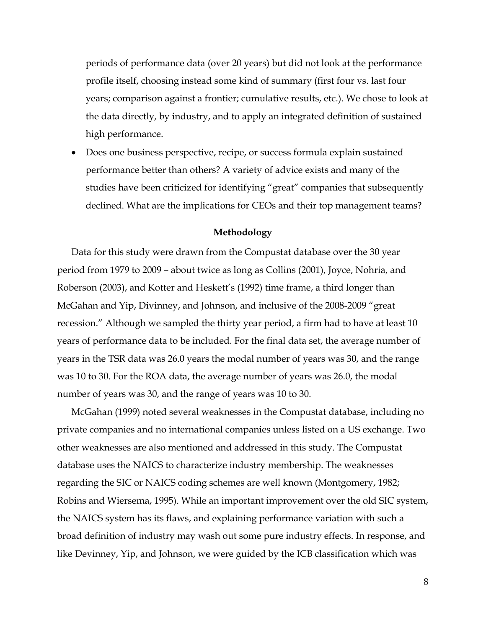periods of performance data (over 20 years) but did not look at the performance profile itself, choosing instead some kind of summary (first four vs. last four years; comparison against a frontier; cumulative results, etc.). We chose to look at the data directly, by industry, and to apply an integrated definition of sustained high performance.

 Does one business perspective, recipe, or success formula explain sustained performance better than others? A variety of advice exists and many of the studies have been criticized for identifying "great" companies that subsequently declined. What are the implications for CEOs and their top management teams?

#### **Methodology**

Data for this study were drawn from the Compustat database over the 30 year period from 1979 to 2009 – about twice as long as Collins (2001), Joyce, Nohria, and Roberson (2003), and Kotter and Heskett's (1992) time frame, a third longer than McGahan and Yip, Divinney, and Johnson, and inclusive of the 2008-2009 "great recession." Although we sampled the thirty year period, a firm had to have at least 10 years of performance data to be included. For the final data set, the average number of years in the TSR data was 26.0 years the modal number of years was 30, and the range was 10 to 30. For the ROA data, the average number of years was 26.0, the modal number of years was 30, and the range of years was 10 to 30.

McGahan (1999) noted several weaknesses in the Compustat database, including no private companies and no international companies unless listed on a US exchange. Two other weaknesses are also mentioned and addressed in this study. The Compustat database uses the NAICS to characterize industry membership. The weaknesses regarding the SIC or NAICS coding schemes are well known (Montgomery, 1982; Robins and Wiersema, 1995). While an important improvement over the old SIC system, the NAICS system has its flaws, and explaining performance variation with such a broad definition of industry may wash out some pure industry effects. In response, and like Devinney, Yip, and Johnson, we were guided by the ICB classification which was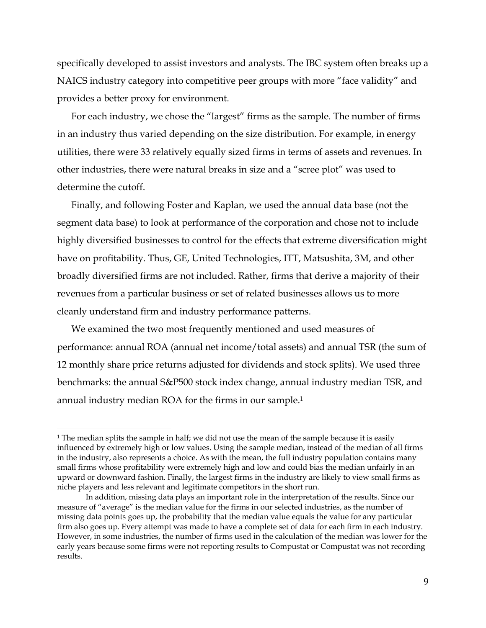specifically developed to assist investors and analysts. The IBC system often breaks up a NAICS industry category into competitive peer groups with more "face validity" and provides a better proxy for environment.

For each industry, we chose the "largest" firms as the sample. The number of firms in an industry thus varied depending on the size distribution. For example, in energy utilities, there were 33 relatively equally sized firms in terms of assets and revenues. In other industries, there were natural breaks in size and a "scree plot" was used to determine the cutoff.

Finally, and following Foster and Kaplan, we used the annual data base (not the segment data base) to look at performance of the corporation and chose not to include highly diversified businesses to control for the effects that extreme diversification might have on profitability. Thus, GE, United Technologies, ITT, Matsushita, 3M, and other broadly diversified firms are not included. Rather, firms that derive a majority of their revenues from a particular business or set of related businesses allows us to more cleanly understand firm and industry performance patterns.

We examined the two most frequently mentioned and used measures of performance: annual ROA (annual net income/total assets) and annual TSR (the sum of 12 monthly share price returns adjusted for dividends and stock splits). We used three benchmarks: the annual S&P500 stock index change, annual industry median TSR, and annual industry median ROA for the firms in our sample.1

 $\overline{a}$ 

<sup>&</sup>lt;sup>1</sup> The median splits the sample in half; we did not use the mean of the sample because it is easily influenced by extremely high or low values. Using the sample median, instead of the median of all firms in the industry, also represents a choice. As with the mean, the full industry population contains many small firms whose profitability were extremely high and low and could bias the median unfairly in an upward or downward fashion. Finally, the largest firms in the industry are likely to view small firms as niche players and less relevant and legitimate competitors in the short run.

In addition, missing data plays an important role in the interpretation of the results. Since our measure of "average" is the median value for the firms in our selected industries, as the number of missing data points goes up, the probability that the median value equals the value for any particular firm also goes up. Every attempt was made to have a complete set of data for each firm in each industry. However, in some industries, the number of firms used in the calculation of the median was lower for the early years because some firms were not reporting results to Compustat or Compustat was not recording results.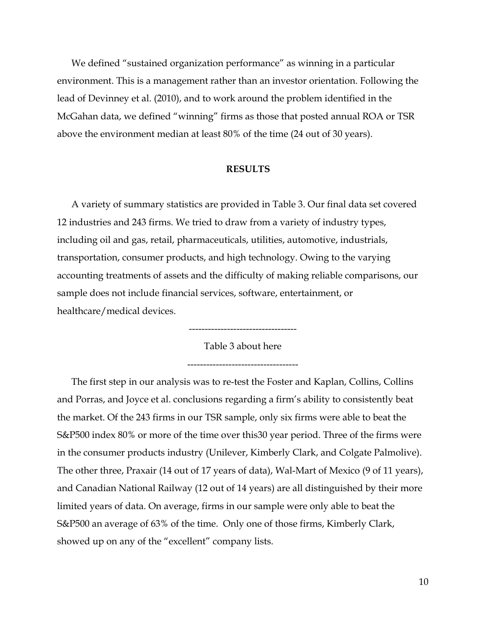We defined "sustained organization performance" as winning in a particular environment. This is a management rather than an investor orientation. Following the lead of Devinney et al. (2010), and to work around the problem identified in the McGahan data, we defined "winning" firms as those that posted annual ROA or TSR above the environment median at least 80% of the time (24 out of 30 years).

#### **RESULTS**

A variety of summary statistics are provided in Table 3. Our final data set covered 12 industries and 243 firms. We tried to draw from a variety of industry types, including oil and gas, retail, pharmaceuticals, utilities, automotive, industrials, transportation, consumer products, and high technology. Owing to the varying accounting treatments of assets and the difficulty of making reliable comparisons, our sample does not include financial services, software, entertainment, or healthcare/medical devices.

> ---------------------------------- Table 3 about here

-----------------------------------

The first step in our analysis was to re-test the Foster and Kaplan, Collins, Collins and Porras, and Joyce et al. conclusions regarding a firm's ability to consistently beat the market. Of the 243 firms in our TSR sample, only six firms were able to beat the S&P500 index 80% or more of the time over this30 year period. Three of the firms were in the consumer products industry (Unilever, Kimberly Clark, and Colgate Palmolive). The other three, Praxair (14 out of 17 years of data), Wal-Mart of Mexico (9 of 11 years), and Canadian National Railway (12 out of 14 years) are all distinguished by their more limited years of data. On average, firms in our sample were only able to beat the S&P500 an average of 63% of the time. Only one of those firms, Kimberly Clark, showed up on any of the "excellent" company lists.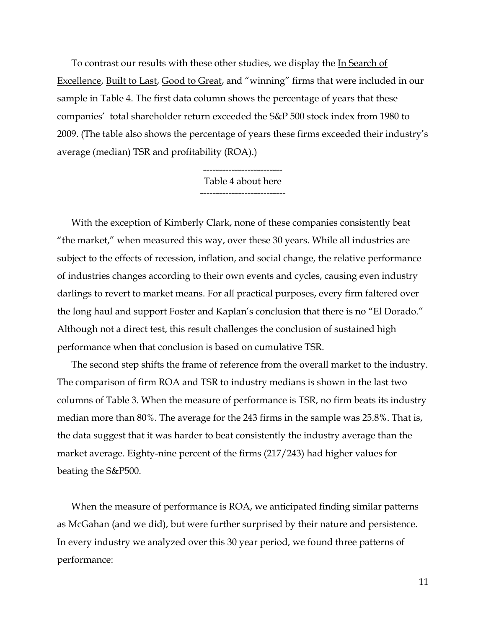To contrast our results with these other studies, we display the In Search of Excellence, Built to Last, Good to Great, and "winning" firms that were included in our sample in Table 4. The first data column shows the percentage of years that these companies' total shareholder return exceeded the S&P 500 stock index from 1980 to 2009. (The table also shows the percentage of years these firms exceeded their industry's average (median) TSR and profitability (ROA).)

> ------------------------- Table 4 about here ---------------------------

With the exception of Kimberly Clark, none of these companies consistently beat "the market," when measured this way, over these 30 years. While all industries are subject to the effects of recession, inflation, and social change, the relative performance of industries changes according to their own events and cycles, causing even industry darlings to revert to market means. For all practical purposes, every firm faltered over the long haul and support Foster and Kaplan's conclusion that there is no "El Dorado." Although not a direct test, this result challenges the conclusion of sustained high performance when that conclusion is based on cumulative TSR.

The second step shifts the frame of reference from the overall market to the industry. The comparison of firm ROA and TSR to industry medians is shown in the last two columns of Table 3. When the measure of performance is TSR, no firm beats its industry median more than 80%. The average for the 243 firms in the sample was 25.8%. That is, the data suggest that it was harder to beat consistently the industry average than the market average. Eighty-nine percent of the firms (217/243) had higher values for beating the S&P500.

When the measure of performance is ROA, we anticipated finding similar patterns as McGahan (and we did), but were further surprised by their nature and persistence. In every industry we analyzed over this 30 year period, we found three patterns of performance: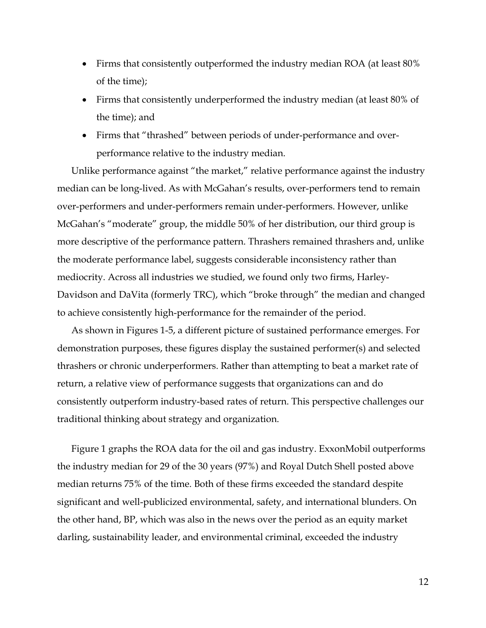- Firms that consistently outperformed the industry median ROA (at least 80% of the time);
- Firms that consistently underperformed the industry median (at least 80% of the time); and
- Firms that "thrashed" between periods of under-performance and overperformance relative to the industry median.

Unlike performance against "the market," relative performance against the industry median can be long-lived. As with McGahan's results, over-performers tend to remain over-performers and under-performers remain under-performers. However, unlike McGahan's "moderate" group, the middle 50% of her distribution, our third group is more descriptive of the performance pattern. Thrashers remained thrashers and, unlike the moderate performance label, suggests considerable inconsistency rather than mediocrity. Across all industries we studied, we found only two firms, Harley-Davidson and DaVita (formerly TRC), which "broke through" the median and changed to achieve consistently high-performance for the remainder of the period.

As shown in Figures 1-5, a different picture of sustained performance emerges. For demonstration purposes, these figures display the sustained performer(s) and selected thrashers or chronic underperformers. Rather than attempting to beat a market rate of return, a relative view of performance suggests that organizations can and do consistently outperform industry-based rates of return. This perspective challenges our traditional thinking about strategy and organization.

Figure 1 graphs the ROA data for the oil and gas industry. ExxonMobil outperforms the industry median for 29 of the 30 years (97%) and Royal Dutch Shell posted above median returns 75% of the time. Both of these firms exceeded the standard despite significant and well-publicized environmental, safety, and international blunders. On the other hand, BP, which was also in the news over the period as an equity market darling, sustainability leader, and environmental criminal, exceeded the industry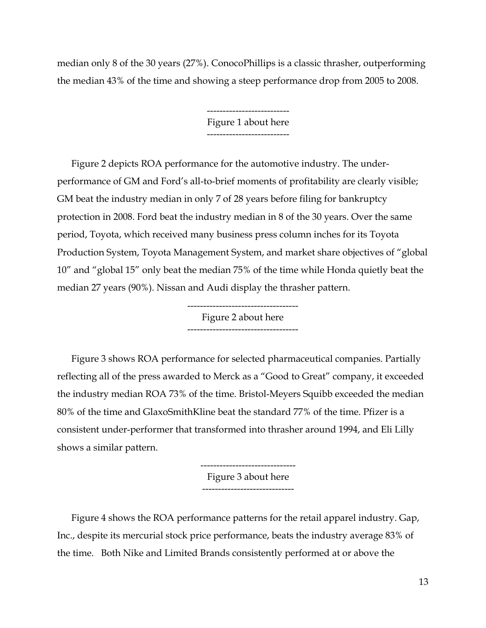median only 8 of the 30 years (27%). ConocoPhillips is a classic thrasher, outperforming the median 43% of the time and showing a steep performance drop from 2005 to 2008.

> -------------------------- Figure 1 about here --------------------------

Figure 2 depicts ROA performance for the automotive industry. The underperformance of GM and Ford's all-to-brief moments of profitability are clearly visible; GM beat the industry median in only 7 of 28 years before filing for bankruptcy protection in 2008. Ford beat the industry median in 8 of the 30 years. Over the same period, Toyota, which received many business press column inches for its Toyota Production System, Toyota Management System, and market share objectives of "global 10" and "global 15" only beat the median 75% of the time while Honda quietly beat the median 27 years (90%). Nissan and Audi display the thrasher pattern.

> ----------------------------------- Figure 2 about here -----------------------------------

Figure 3 shows ROA performance for selected pharmaceutical companies. Partially reflecting all of the press awarded to Merck as a "Good to Great" company, it exceeded the industry median ROA 73% of the time. Bristol-Meyers Squibb exceeded the median 80% of the time and GlaxoSmithKline beat the standard 77% of the time. Pfizer is a consistent under-performer that transformed into thrasher around 1994, and Eli Lilly shows a similar pattern.

> ------------------------------ Figure 3 about here -----------------------------

Figure 4 shows the ROA performance patterns for the retail apparel industry. Gap, Inc., despite its mercurial stock price performance, beats the industry average 83% of the time. Both Nike and Limited Brands consistently performed at or above the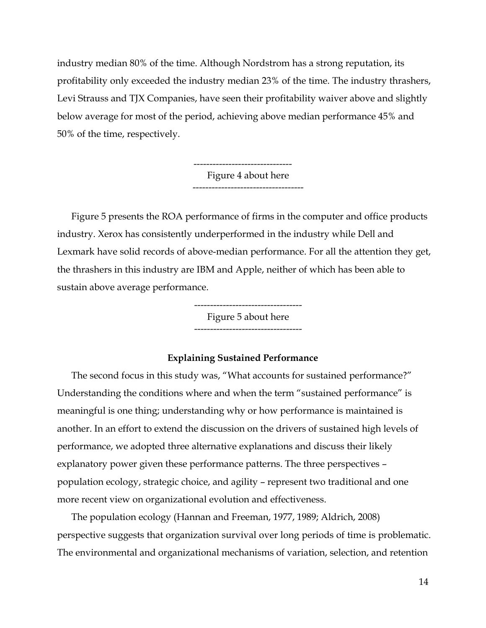industry median 80% of the time. Although Nordstrom has a strong reputation, its profitability only exceeded the industry median 23% of the time. The industry thrashers, Levi Strauss and TJX Companies, have seen their profitability waiver above and slightly below average for most of the period, achieving above median performance 45% and 50% of the time, respectively.

> ------------------------------- Figure 4 about here -----------------------------------

Figure 5 presents the ROA performance of firms in the computer and office products industry. Xerox has consistently underperformed in the industry while Dell and Lexmark have solid records of above-median performance. For all the attention they get, the thrashers in this industry are IBM and Apple, neither of which has been able to sustain above average performance.

> ---------------------------------- Figure 5 about here ----------------------------------

#### **Explaining Sustained Performance**

The second focus in this study was, "What accounts for sustained performance?" Understanding the conditions where and when the term "sustained performance" is meaningful is one thing; understanding why or how performance is maintained is another. In an effort to extend the discussion on the drivers of sustained high levels of performance, we adopted three alternative explanations and discuss their likely explanatory power given these performance patterns. The three perspectives – population ecology, strategic choice, and agility – represent two traditional and one more recent view on organizational evolution and effectiveness.

The population ecology (Hannan and Freeman, 1977, 1989; Aldrich, 2008) perspective suggests that organization survival over long periods of time is problematic. The environmental and organizational mechanisms of variation, selection, and retention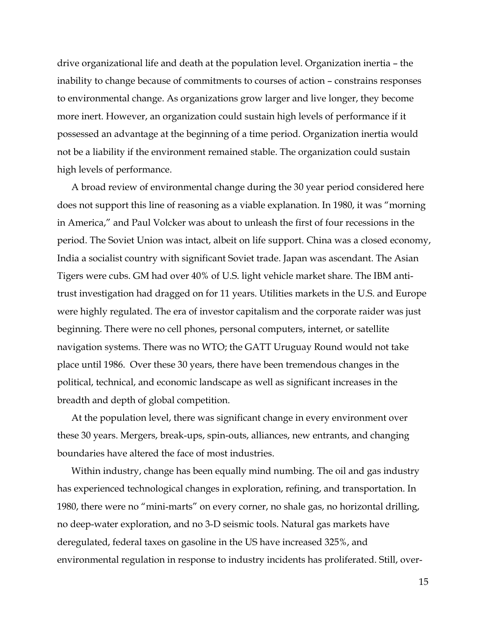drive organizational life and death at the population level. Organization inertia – the inability to change because of commitments to courses of action – constrains responses to environmental change. As organizations grow larger and live longer, they become more inert. However, an organization could sustain high levels of performance if it possessed an advantage at the beginning of a time period. Organization inertia would not be a liability if the environment remained stable. The organization could sustain high levels of performance.

A broad review of environmental change during the 30 year period considered here does not support this line of reasoning as a viable explanation. In 1980, it was "morning in America," and Paul Volcker was about to unleash the first of four recessions in the period. The Soviet Union was intact, albeit on life support. China was a closed economy, India a socialist country with significant Soviet trade. Japan was ascendant. The Asian Tigers were cubs. GM had over 40% of U.S. light vehicle market share. The IBM antitrust investigation had dragged on for 11 years. Utilities markets in the U.S. and Europe were highly regulated. The era of investor capitalism and the corporate raider was just beginning. There were no cell phones, personal computers, internet, or satellite navigation systems. There was no WTO; the GATT Uruguay Round would not take place until 1986. Over these 30 years, there have been tremendous changes in the political, technical, and economic landscape as well as significant increases in the breadth and depth of global competition.

At the population level, there was significant change in every environment over these 30 years. Mergers, break-ups, spin-outs, alliances, new entrants, and changing boundaries have altered the face of most industries.

Within industry, change has been equally mind numbing. The oil and gas industry has experienced technological changes in exploration, refining, and transportation. In 1980, there were no "mini-marts" on every corner, no shale gas, no horizontal drilling, no deep-water exploration, and no 3-D seismic tools. Natural gas markets have deregulated, federal taxes on gasoline in the US have increased 325%, and environmental regulation in response to industry incidents has proliferated. Still, over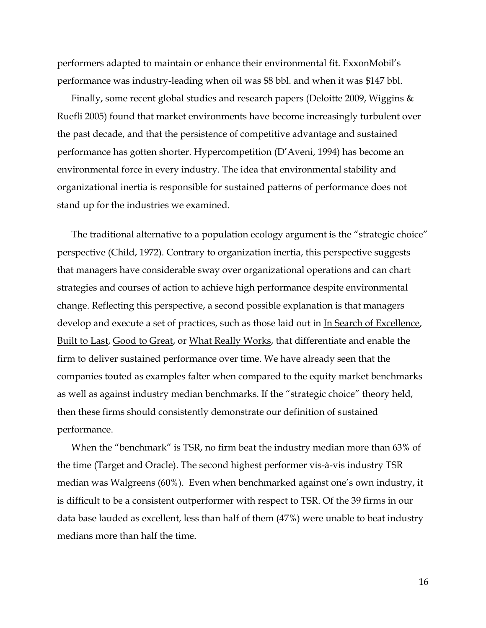performers adapted to maintain or enhance their environmental fit. ExxonMobil's performance was industry-leading when oil was \$8 bbl. and when it was \$147 bbl.

Finally, some recent global studies and research papers (Deloitte 2009, Wiggins & Ruefli 2005) found that market environments have become increasingly turbulent over the past decade, and that the persistence of competitive advantage and sustained performance has gotten shorter. Hypercompetition (D'Aveni, 1994) has become an environmental force in every industry. The idea that environmental stability and organizational inertia is responsible for sustained patterns of performance does not stand up for the industries we examined.

The traditional alternative to a population ecology argument is the "strategic choice" perspective (Child, 1972). Contrary to organization inertia, this perspective suggests that managers have considerable sway over organizational operations and can chart strategies and courses of action to achieve high performance despite environmental change. Reflecting this perspective, a second possible explanation is that managers develop and execute a set of practices, such as those laid out in In Search of Excellence, Built to Last, Good to Great, or What Really Works, that differentiate and enable the firm to deliver sustained performance over time. We have already seen that the companies touted as examples falter when compared to the equity market benchmarks as well as against industry median benchmarks. If the "strategic choice" theory held, then these firms should consistently demonstrate our definition of sustained performance.

When the "benchmark" is TSR, no firm beat the industry median more than 63% of the time (Target and Oracle). The second highest performer vis-à-vis industry TSR median was Walgreens (60%). Even when benchmarked against one's own industry, it is difficult to be a consistent outperformer with respect to TSR. Of the 39 firms in our data base lauded as excellent, less than half of them (47%) were unable to beat industry medians more than half the time.

16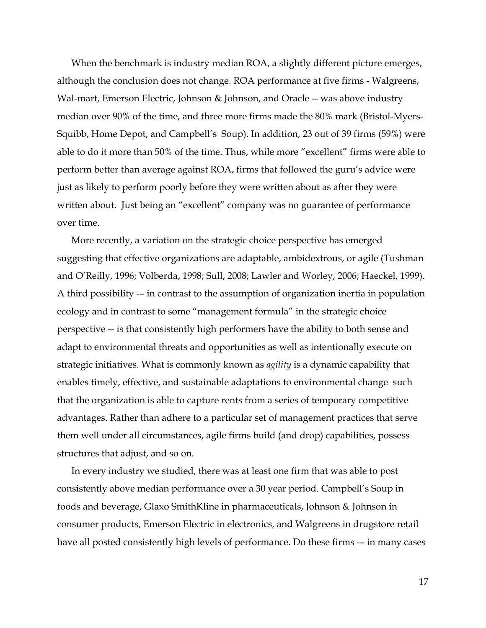When the benchmark is industry median ROA, a slightly different picture emerges, although the conclusion does not change. ROA performance at five firms - Walgreens, Wal-mart, Emerson Electric, Johnson & Johnson, and Oracle -- was above industry median over 90% of the time, and three more firms made the 80% mark (Bristol-Myers-Squibb, Home Depot, and Campbell's Soup). In addition, 23 out of 39 firms (59%) were able to do it more than 50% of the time. Thus, while more "excellent" firms were able to perform better than average against ROA, firms that followed the guru's advice were just as likely to perform poorly before they were written about as after they were written about. Just being an "excellent" company was no guarantee of performance over time.

More recently, a variation on the strategic choice perspective has emerged suggesting that effective organizations are adaptable, ambidextrous, or agile (Tushman and O'Reilly, 1996; Volberda, 1998; Sull, 2008; Lawler and Worley, 2006; Haeckel, 1999). A third possibility -– in contrast to the assumption of organization inertia in population ecology and in contrast to some "management formula" in the strategic choice perspective -- is that consistently high performers have the ability to both sense and adapt to environmental threats and opportunities as well as intentionally execute on strategic initiatives. What is commonly known as *agility* is a dynamic capability that enables timely, effective, and sustainable adaptations to environmental change such that the organization is able to capture rents from a series of temporary competitive advantages. Rather than adhere to a particular set of management practices that serve them well under all circumstances, agile firms build (and drop) capabilities, possess structures that adjust, and so on.

In every industry we studied, there was at least one firm that was able to post consistently above median performance over a 30 year period. Campbell's Soup in foods and beverage, Glaxo SmithKline in pharmaceuticals, Johnson & Johnson in consumer products, Emerson Electric in electronics, and Walgreens in drugstore retail have all posted consistently high levels of performance. Do these firms -– in many cases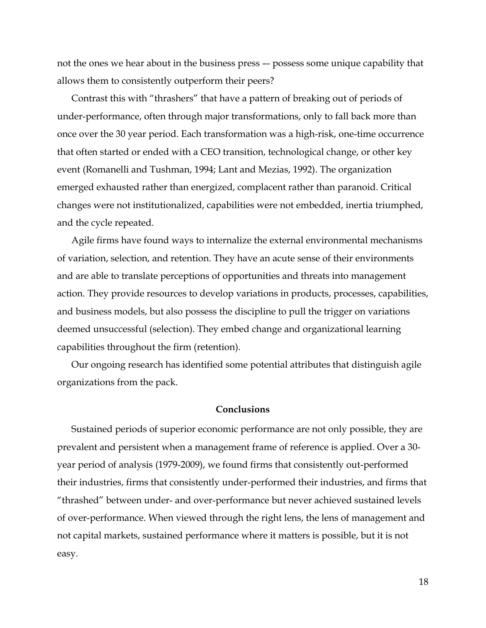not the ones we hear about in the business press –- possess some unique capability that allows them to consistently outperform their peers?

Contrast this with "thrashers" that have a pattern of breaking out of periods of under-performance, often through major transformations, only to fall back more than once over the 30 year period. Each transformation was a high-risk, one-time occurrence that often started or ended with a CEO transition, technological change, or other key event (Romanelli and Tushman, 1994; Lant and Mezias, 1992). The organization emerged exhausted rather than energized, complacent rather than paranoid. Critical changes were not institutionalized, capabilities were not embedded, inertia triumphed, and the cycle repeated.

Agile firms have found ways to internalize the external environmental mechanisms of variation, selection, and retention. They have an acute sense of their environments and are able to translate perceptions of opportunities and threats into management action. They provide resources to develop variations in products, processes, capabilities, and business models, but also possess the discipline to pull the trigger on variations deemed unsuccessful (selection). They embed change and organizational learning capabilities throughout the firm (retention).

Our ongoing research has identified some potential attributes that distinguish agile organizations from the pack.

#### **Conclusions**

Sustained periods of superior economic performance are not only possible, they are prevalent and persistent when a management frame of reference is applied. Over a 30 year period of analysis (1979-2009), we found firms that consistently out-performed their industries, firms that consistently under-performed their industries, and firms that "thrashed" between under- and over-performance but never achieved sustained levels of over-performance. When viewed through the right lens, the lens of management and not capital markets, sustained performance where it matters is possible, but it is not easy.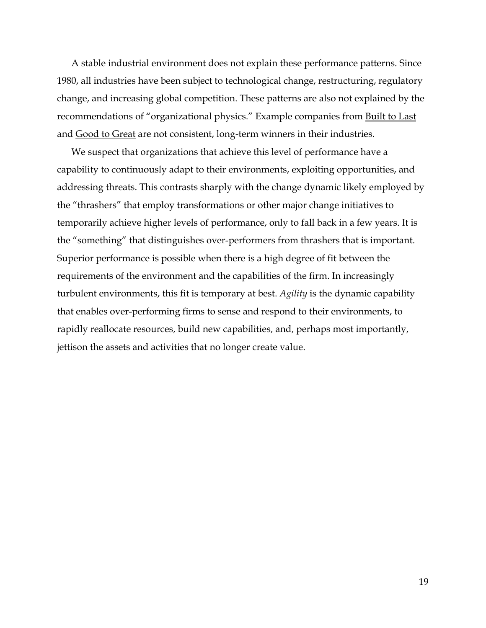A stable industrial environment does not explain these performance patterns. Since 1980, all industries have been subject to technological change, restructuring, regulatory change, and increasing global competition. These patterns are also not explained by the recommendations of "organizational physics." Example companies from Built to Last and Good to Great are not consistent, long-term winners in their industries.

We suspect that organizations that achieve this level of performance have a capability to continuously adapt to their environments, exploiting opportunities, and addressing threats. This contrasts sharply with the change dynamic likely employed by the "thrashers" that employ transformations or other major change initiatives to temporarily achieve higher levels of performance, only to fall back in a few years. It is the "something" that distinguishes over-performers from thrashers that is important. Superior performance is possible when there is a high degree of fit between the requirements of the environment and the capabilities of the firm. In increasingly turbulent environments, this fit is temporary at best. *Agility* is the dynamic capability that enables over-performing firms to sense and respond to their environments, to rapidly reallocate resources, build new capabilities, and, perhaps most importantly, jettison the assets and activities that no longer create value.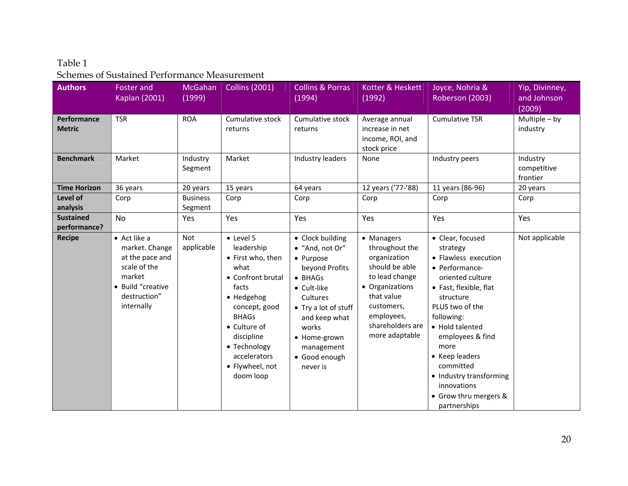## Table 1 Schemes of Sustained Performance Measurement

| <b>Authors</b>                   | <b>Foster and</b><br><b>Kaplan (2001)</b>                                                                                      | <b>McGahan</b><br>(1999)   | <b>Collins (2001)</b>                                                                                                                                                                                                           | <b>Collins &amp; Porras</b><br>(1994)                                                                                                                                                                                 | Kotter & Heskett<br>(1992)                                                                                                                                                          | Joyce, Nohria &<br>Roberson (2003)                                                                                                                                                                                                                                                                                                  | Yip, Divinney,<br>and Johnson       |
|----------------------------------|--------------------------------------------------------------------------------------------------------------------------------|----------------------------|---------------------------------------------------------------------------------------------------------------------------------------------------------------------------------------------------------------------------------|-----------------------------------------------------------------------------------------------------------------------------------------------------------------------------------------------------------------------|-------------------------------------------------------------------------------------------------------------------------------------------------------------------------------------|-------------------------------------------------------------------------------------------------------------------------------------------------------------------------------------------------------------------------------------------------------------------------------------------------------------------------------------|-------------------------------------|
|                                  |                                                                                                                                |                            |                                                                                                                                                                                                                                 |                                                                                                                                                                                                                       |                                                                                                                                                                                     |                                                                                                                                                                                                                                                                                                                                     | (2009)                              |
| Performance<br><b>Metric</b>     | <b>TSR</b>                                                                                                                     | <b>ROA</b>                 | Cumulative stock<br>returns                                                                                                                                                                                                     | Cumulative stock<br>returns                                                                                                                                                                                           | Average annual<br>increase in net<br>income, ROI, and<br>stock price                                                                                                                | <b>Cumulative TSR</b>                                                                                                                                                                                                                                                                                                               | Multiple $-$ by<br>industry         |
| <b>Benchmark</b>                 | Market                                                                                                                         | Industry<br>Segment        | Market                                                                                                                                                                                                                          | Industry leaders                                                                                                                                                                                                      | None                                                                                                                                                                                | Industry peers                                                                                                                                                                                                                                                                                                                      | Industry<br>competitive<br>frontier |
| <b>Time Horizon</b>              | 36 years                                                                                                                       | 20 years                   | 15 years                                                                                                                                                                                                                        | 64 years                                                                                                                                                                                                              | 12 years ('77-'88)                                                                                                                                                                  | 11 years (86-96)                                                                                                                                                                                                                                                                                                                    | 20 years                            |
| Level of<br>analysis             | Corp                                                                                                                           | <b>Business</b><br>Segment | Corp                                                                                                                                                                                                                            | Corp                                                                                                                                                                                                                  | Corp                                                                                                                                                                                | Corp                                                                                                                                                                                                                                                                                                                                | Corp                                |
| <b>Sustained</b><br>performance? | No                                                                                                                             | Yes                        | Yes                                                                                                                                                                                                                             | Yes                                                                                                                                                                                                                   | Yes                                                                                                                                                                                 | Yes                                                                                                                                                                                                                                                                                                                                 | Yes                                 |
| <b>Recipe</b>                    | • Act like a<br>market. Change<br>at the pace and<br>scale of the<br>market<br>• Build "creative<br>destruction"<br>internally | <b>Not</b><br>applicable   | • Level 5<br>leadership<br>• First who, then<br>what<br>• Confront brutal<br>facts<br>• Hedgehog<br>concept, good<br><b>BHAGs</b><br>• Culture of<br>discipline<br>• Technology<br>accelerators<br>• Flywheel, not<br>doom loop | • Clock building<br>• "And, not Or"<br>• Purpose<br>beyond Profits<br>• BHAGs<br>• Cult-like<br>Cultures<br>• Try a lot of stuff<br>and keep what<br>works<br>• Home-grown<br>management<br>• Good enough<br>never is | • Managers<br>throughout the<br>organization<br>should be able<br>to lead change<br>• Organizations<br>that value<br>customers,<br>employees,<br>shareholders are<br>more adaptable | • Clear, focused<br>strategy<br>• Flawless execution<br>• Performance-<br>oriented culture<br>• Fast, flexible, flat<br>structure<br>PLUS two of the<br>following:<br>• Hold talented<br>employees & find<br>more<br>• Keep leaders<br>committed<br>• Industry transforming<br>innovations<br>• Grow thru mergers &<br>partnerships | Not applicable                      |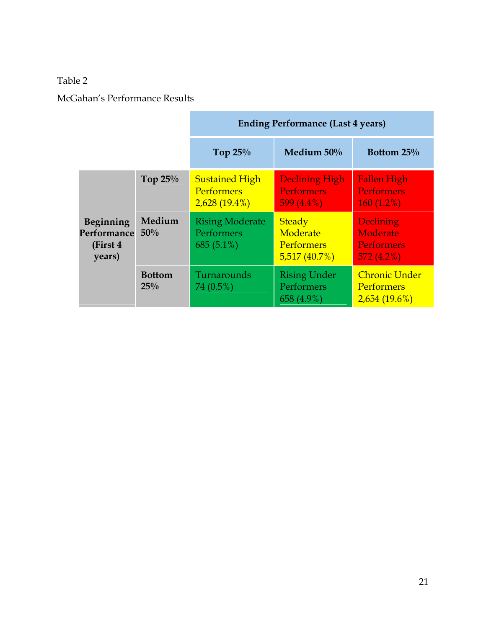## Table 2

McGahan's Performance Results

|                                                       |                      | <b>Ending Performance (Last 4 years)</b>                      |                                                                |                                                                |  |
|-------------------------------------------------------|----------------------|---------------------------------------------------------------|----------------------------------------------------------------|----------------------------------------------------------------|--|
|                                                       |                      | Top $25%$                                                     | Medium 50%                                                     | Bottom 25%                                                     |  |
|                                                       | Top $25%$            | <b>Sustained High</b><br><b>Performers</b><br>$2,628(19.4\%)$ | <b>Declining High</b><br><b>Performers</b><br>599 $(4.4\%)$    | <b>Fallen High</b><br><b>Performers</b><br>$160(1.2\%)$        |  |
| <b>Beginning</b><br>Performance<br>(First 4<br>years) | Medium<br>50%        | <b>Rising Moderate</b><br>Performers<br>$685(5.1\%)$          | <b>Steady</b><br>Moderate<br><b>Performers</b><br>5,517(40.7%) | <b>Declining</b><br>Moderate<br><b>Performers</b><br>572(4.2%) |  |
|                                                       | <b>Bottom</b><br>25% | Turnarounds<br>74 (0.5%)                                      | <b>Rising Under</b><br>Performers<br>658 (4.9%)                | <b>Chronic Under</b><br><b>Performers</b><br>2,654(19.6%)      |  |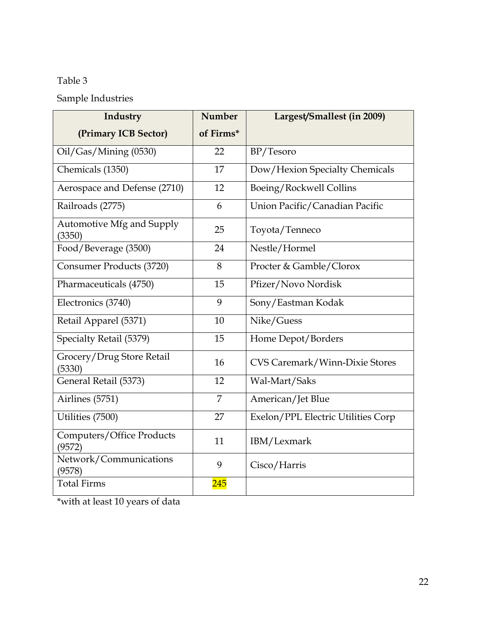# Table 3

# Sample Industries

| Industry                                   | <b>Number</b>    | Largest/Smallest (in 2009)            |  |  |
|--------------------------------------------|------------------|---------------------------------------|--|--|
| (Primary ICB Sector)                       | of Firms*        |                                       |  |  |
| Oil/Gas/Mining (0530)                      | 22               | BP/Tesoro                             |  |  |
| Chemicals (1350)                           | 17               | Dow/Hexion Specialty Chemicals        |  |  |
| Aerospace and Defense (2710)               | 12               | Boeing/Rockwell Collins               |  |  |
| Railroads (2775)                           | 6                | Union Pacific/Canadian Pacific        |  |  |
| Automotive Mfg and Supply<br>(3350)        | 25               | Toyota/Tenneco                        |  |  |
| Food/Beverage (3500)                       | 24               | Nestle/Hormel                         |  |  |
| Consumer Products (3720)                   | 8                | Procter & Gamble/Clorox               |  |  |
| Pharmaceuticals (4750)                     | 15               | Pfizer/Novo Nordisk                   |  |  |
| Electronics (3740)                         | 9                | Sony/Eastman Kodak                    |  |  |
| Retail Apparel (5371)                      | 10               | Nike/Guess                            |  |  |
| Specialty Retail (5379)                    | 15               | Home Depot/Borders                    |  |  |
| Grocery/Drug Store Retail<br>(5330)        | 16               | <b>CVS Caremark/Winn-Dixie Stores</b> |  |  |
| General Retail (5373)                      | 12               | Wal-Mart/Saks                         |  |  |
| Airlines (5751)                            | $\overline{7}$   | American/Jet Blue                     |  |  |
| Utilities (7500)                           | 27               | Exelon/PPL Electric Utilities Corp    |  |  |
| <b>Computers/Office Products</b><br>(9572) | 11               | IBM/Lexmark                           |  |  |
| Network/Communications<br>(9578)           | 9                | Cisco/Harris                          |  |  |
| <b>Total Firms</b>                         | $\overline{245}$ |                                       |  |  |

\*with at least 10 years of data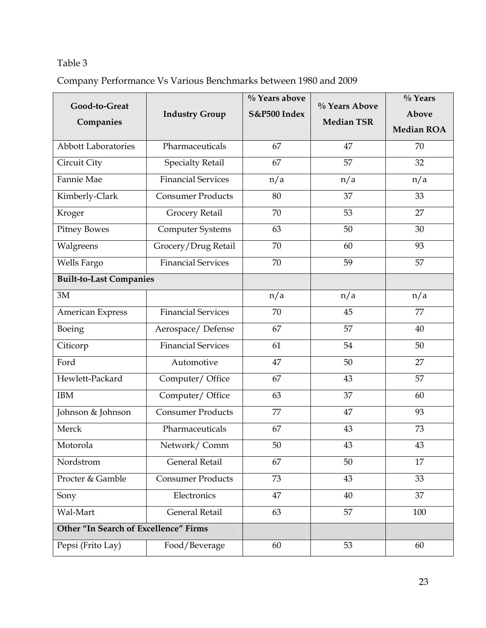# Table 3

Company Performance Vs Various Benchmarks between 1980 and 2009

| Good-to-Great<br>Companies            | <b>Industry Group</b>     | % Years above<br>S&P500 Index | % Years Above<br><b>Median TSR</b> | % Years<br><b>Above</b><br><b>Median ROA</b> |
|---------------------------------------|---------------------------|-------------------------------|------------------------------------|----------------------------------------------|
| <b>Abbott Laboratories</b>            | Pharmaceuticals           | 67                            | 47                                 | 70                                           |
| Circuit City                          | <b>Specialty Retail</b>   | 67                            | 57                                 | 32                                           |
| Fannie Mae                            | <b>Financial Services</b> | n/a                           | n/a                                | n/a                                          |
| Kimberly-Clark                        | <b>Consumer Products</b>  | 80                            | 37                                 | 33                                           |
| Kroger                                | Grocery Retail            | 70                            | 53                                 | 27                                           |
| <b>Pitney Bowes</b>                   | Computer Systems          | 63                            | 50                                 | 30                                           |
| Walgreens                             | Grocery/Drug Retail       | 70                            | 60                                 | 93                                           |
| Wells Fargo                           | <b>Financial Services</b> | 70                            | 59                                 | 57                                           |
| <b>Built-to-Last Companies</b>        |                           |                               |                                    |                                              |
| 3M                                    |                           | n/a                           | n/a                                | n/a                                          |
| American Express                      | <b>Financial Services</b> | 70                            | 45                                 | 77                                           |
| Boeing                                | Aerospace/Defense         | 67                            | 57                                 | 40                                           |
| Citicorp                              | <b>Financial Services</b> | 61                            | 54                                 | 50                                           |
| Ford                                  | Automotive                | 47                            | 50                                 | 27                                           |
| Hewlett-Packard                       | Computer/Office           | 67                            | 43                                 | 57                                           |
| <b>IBM</b>                            | Computer/Office           | 63                            | 37                                 | 60                                           |
| Johnson & Johnson                     | <b>Consumer Products</b>  | 77                            | 47                                 | 93                                           |
| Merck                                 | Pharmaceuticals           | 67                            | 43                                 | 73                                           |
| Motorola                              | Network/Comm              | 50                            | 43                                 | 43                                           |
| Nordstrom                             | General Retail            | 67                            | 50                                 | 17                                           |
| Procter & Gamble                      | <b>Consumer Products</b>  | 73                            | 43                                 | 33                                           |
| Sony                                  | Electronics               | 47                            | 40                                 | 37                                           |
| Wal-Mart                              | General Retail            | 63                            | 57                                 | 100                                          |
| Other "In Search of Excellence" Firms |                           |                               |                                    |                                              |
| Pepsi (Frito Lay)                     | Food/Beverage             | 60                            | 53                                 | 60                                           |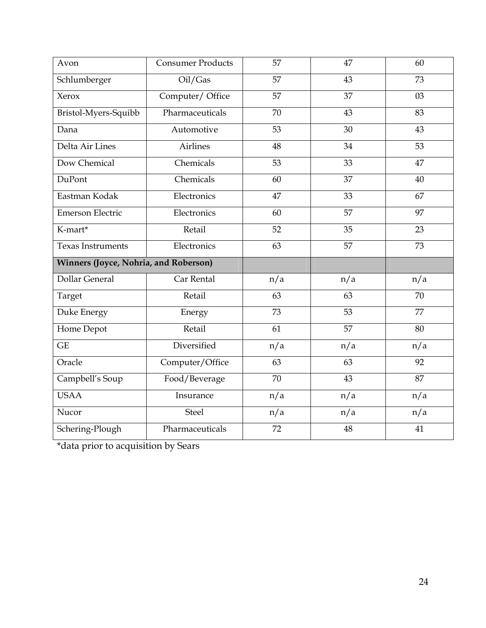| Avon                                  | Consumer Products | 57              | 47  | 60  |
|---------------------------------------|-------------------|-----------------|-----|-----|
| Schlumberger                          | Oil/Gas           | $\overline{57}$ | 43  | 73  |
| Xerox                                 | Computer/Office   | 57              | 37  | 03  |
| Bristol-Myers-Squibb                  | Pharmaceuticals   | 70              | 43  | 83  |
| Dana                                  | Automotive        | 53              | 30  | 43  |
| Delta Air Lines                       | <b>Airlines</b>   | 48              | 34  | 53  |
| Dow Chemical                          | Chemicals         | 53              | 33  | 47  |
| DuPont                                | Chemicals         | 60              | 37  | 40  |
| Eastman Kodak                         | Electronics       | 47              | 33  | 67  |
| Emerson Electric                      | Electronics       | 60              | 57  | 97  |
| K-mart*                               | Retail            | 52              | 35  | 23  |
| <b>Texas Instruments</b>              | Electronics       | 63              | 57  | 73  |
| Winners (Joyce, Nohria, and Roberson) |                   |                 |     |     |
| <b>Dollar General</b>                 | Car Rental        | n/a             | n/a | n/a |
| Target                                | Retail            | 63              | 63  | 70  |
| Duke Energy                           | Energy            | 73              | 53  | 77  |
| Home Depot                            | Retail            | 61              | 57  | 80  |
| <b>GE</b>                             | Diversified       | n/a             | n/a | n/a |
| Oracle                                | Computer/Office   | 63              | 63  | 92  |
| Campbell's Soup                       | Food/Beverage     | 70              | 43  | 87  |
| <b>USAA</b>                           | Insurance         | n/a             | n/a | n/a |
| Nucor                                 | <b>Steel</b>      | n/a             | n/a | n/a |
| Schering-Plough                       | Pharmaceuticals   | 72              | 48  | 41  |

\*data prior to acquisition by Sears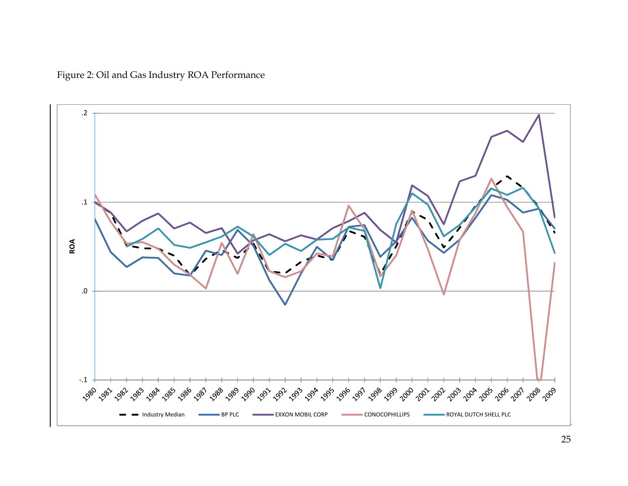Figure 2: Oil and Gas Industry ROA Performance

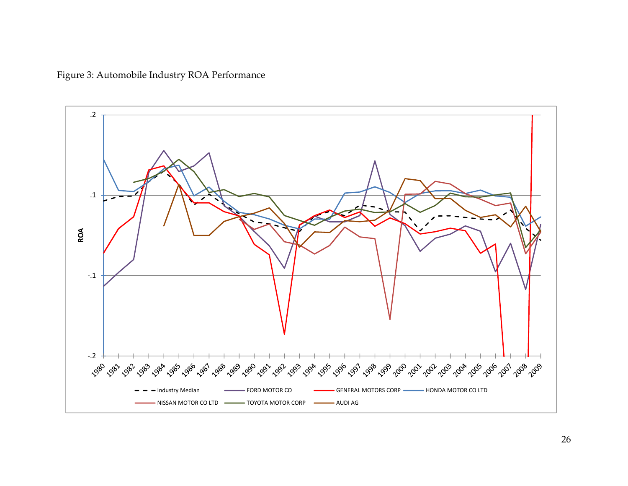Figure 3: Automobile Industry ROA Performance

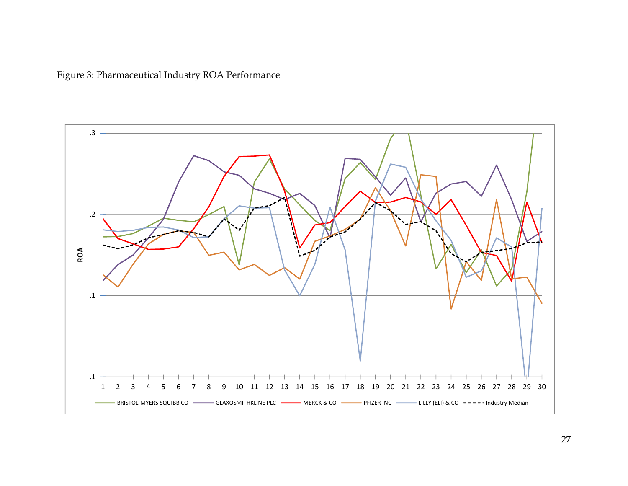Figure 3: Pharmaceutical Industry ROA Performance

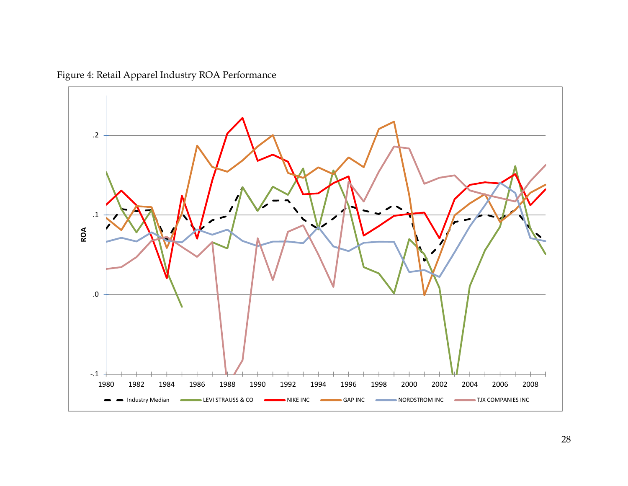